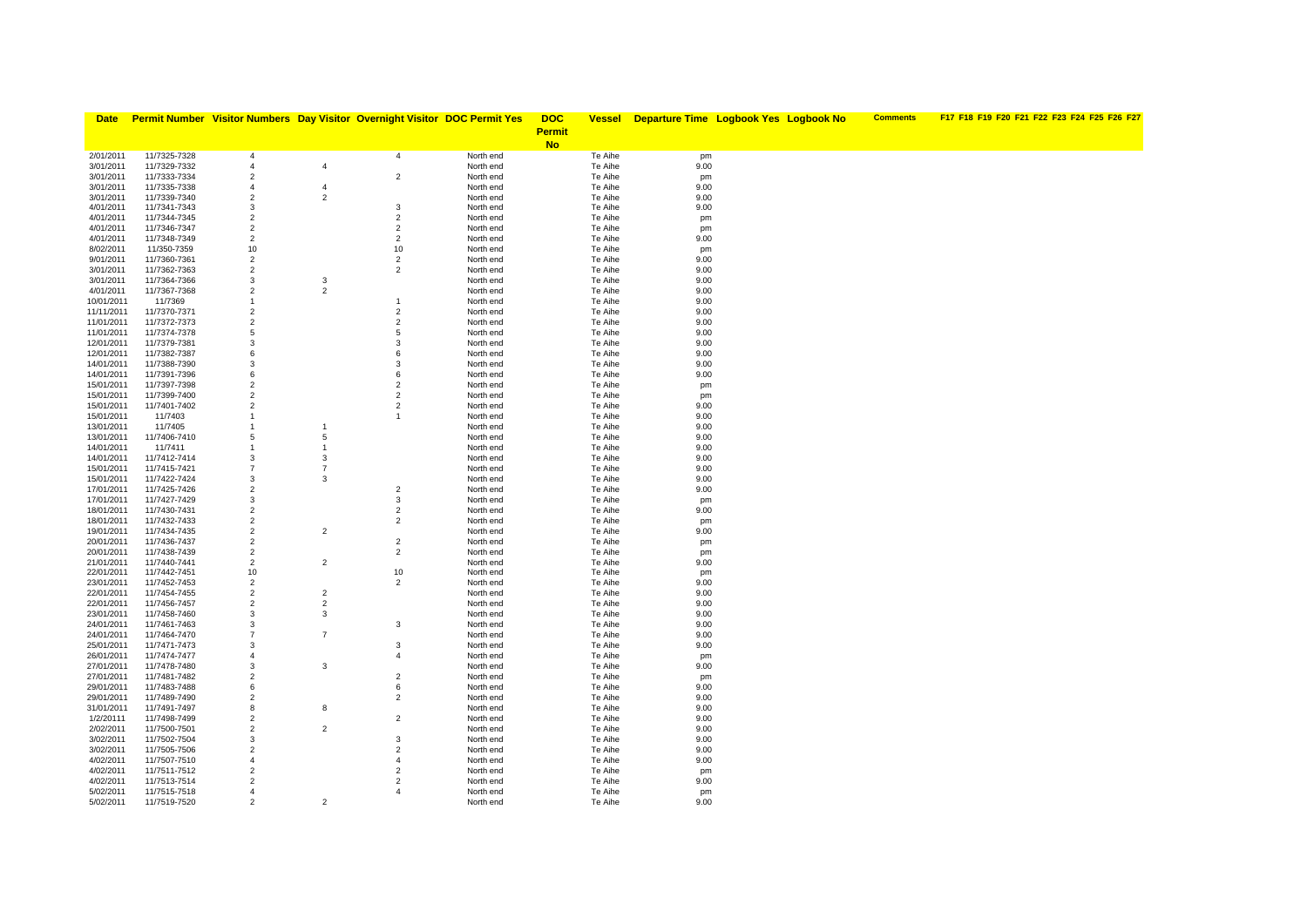| <b>Date</b>              |                              |                              |                | Permit Number Visitor Numbers Day Visitor Overnight Visitor DOC Permit Yes |                        | <b>DOC</b>    | <b>Vessel</b>      | <b>Departure Time Logbook Yes Logbook No</b> |  | <b>Comments</b> | F17 F18 F19 F20 F21 F22 F23 F24 F25 F26 F27 |
|--------------------------|------------------------------|------------------------------|----------------|----------------------------------------------------------------------------|------------------------|---------------|--------------------|----------------------------------------------|--|-----------------|---------------------------------------------|
|                          |                              |                              |                |                                                                            |                        | <b>Permit</b> |                    |                                              |  |                 |                                             |
|                          |                              |                              |                |                                                                            |                        | <b>No</b>     |                    |                                              |  |                 |                                             |
| 2/01/2011                | 11/7325-7328                 | $\overline{4}$               |                | $\overline{4}$                                                             | North end              |               | Te Aihe            | pm                                           |  |                 |                                             |
| 3/01/2011                | 11/7329-7332                 | $\overline{4}$               | $\overline{4}$ |                                                                            | North end              |               | Te Aihe            | 9.00                                         |  |                 |                                             |
| 3/01/2011                | 11/7333-7334                 | $\overline{2}$               |                | $\overline{2}$                                                             | North end              |               | Te Aihe            | pm                                           |  |                 |                                             |
| 3/01/2011                | 11/7335-7338                 | $\overline{4}$               | $\overline{4}$ |                                                                            | North end              |               | Te Aihe            | 9.00                                         |  |                 |                                             |
| 3/01/2011                | 11/7339-7340                 | $\overline{2}$               | $\overline{2}$ |                                                                            | North end              |               | Te Aihe            | 9.00                                         |  |                 |                                             |
| 4/01/2011                | 11/7341-7343                 | 3                            |                | 3                                                                          | North end              |               | Te Aihe            | 9.00                                         |  |                 |                                             |
| 4/01/2011                | 11/7344-7345                 | $\overline{2}$               |                | $\overline{2}$                                                             | North end              |               | Te Aihe            | pm                                           |  |                 |                                             |
| 4/01/2011                | 11/7346-7347                 | $\overline{2}$               |                | $\overline{2}$                                                             | North end              |               | Te Aihe            | pm                                           |  |                 |                                             |
| 4/01/2011                | 11/7348-7349                 | $\overline{2}$               |                | $\overline{2}$                                                             | North end              |               | Te Aihe            | 9.00                                         |  |                 |                                             |
| 8/02/2011<br>9/01/2011   | 11/350-7359                  | $10$<br>$\overline{2}$       |                | 10<br>$\overline{2}$                                                       | North end              |               | Te Aihe<br>Te Aihe | pm<br>9.00                                   |  |                 |                                             |
| 3/01/2011                | 11/7360-7361<br>11/7362-7363 | $\overline{2}$               |                | $\overline{2}$                                                             | North end<br>North end |               | Te Aihe            | 9.00                                         |  |                 |                                             |
| 3/01/2011                | 11/7364-7366                 | 3                            | 3              |                                                                            | North end              |               | Te Aihe            | 9.00                                         |  |                 |                                             |
| 4/01/2011                | 11/7367-7368                 | $\overline{2}$               | $\overline{2}$ |                                                                            | North end              |               | Te Aihe            | 9.00                                         |  |                 |                                             |
| 10/01/2011               | 11/7369                      | $\mathbf{1}$                 |                | $\overline{1}$                                                             | North end              |               | Te Aihe            | 9.00                                         |  |                 |                                             |
| 11/11/2011               | 11/7370-7371                 | $\overline{2}$               |                | $\overline{2}$                                                             | North end              |               | Te Aihe            | 9.00                                         |  |                 |                                             |
| 11/01/2011               | 11/7372-7373                 | $\overline{2}$               |                | $\overline{2}$                                                             | North end              |               | Te Aihe            | 9.00                                         |  |                 |                                             |
| 11/01/2011               | 11/7374-7378                 | 5                            |                | $\,$ 5 $\,$                                                                | North end              |               | Te Aihe            | 9.00                                         |  |                 |                                             |
| 12/01/2011               | 11/7379-7381                 | 3                            |                | 3                                                                          | North end              |               | Te Aihe            | 9.00                                         |  |                 |                                             |
| 12/01/2011               | 11/7382-7387                 | 6                            |                | 6                                                                          | North end              |               | Te Aihe            | 9.00                                         |  |                 |                                             |
| 14/01/2011               | 11/7388-7390                 | 3                            |                | 3                                                                          | North end              |               | Te Aihe            | 9.00                                         |  |                 |                                             |
| 14/01/2011               | 11/7391-7396                 | 6                            |                | 6                                                                          | North end              |               | Te Aihe            | 9.00                                         |  |                 |                                             |
| 15/01/2011               | 11/7397-7398                 | $\overline{2}$               |                | $\overline{2}$                                                             | North end              |               | Te Aihe            | pm                                           |  |                 |                                             |
| 15/01/2011               | 11/7399-7400                 | $\overline{2}$               |                | $\overline{2}$                                                             | North end              |               | Te Aihe            | pm                                           |  |                 |                                             |
| 15/01/2011               | 11/7401-7402                 | $\overline{2}$               |                | $\overline{2}$                                                             | North end              |               | Te Aihe            | 9.00                                         |  |                 |                                             |
| 15/01/2011<br>13/01/2011 | 11/7403<br>11/7405           | $\mathbf{1}$<br>$\mathbf{1}$ | $\overline{1}$ | $\mathbf{1}$                                                               | North end<br>North end |               | Te Aihe<br>Te Aihe | 9.00<br>9.00                                 |  |                 |                                             |
| 13/01/2011               | 11/7406-7410                 | 5                            | 5              |                                                                            | North end              |               | Te Aihe            | 9.00                                         |  |                 |                                             |
| 14/01/2011               | 11/7411                      | $\overline{1}$               | $\overline{1}$ |                                                                            | North end              |               | Te Aihe            | 9.00                                         |  |                 |                                             |
| 14/01/2011               | 11/7412-7414                 | 3                            | 3              |                                                                            | North end              |               | Te Aihe            | 9.00                                         |  |                 |                                             |
| 15/01/2011               | 11/7415-7421                 | $\overline{7}$               | $\overline{7}$ |                                                                            | North end              |               | Te Aihe            | 9.00                                         |  |                 |                                             |
| 15/01/2011               | 11/7422-7424                 | 3                            | 3              |                                                                            | North end              |               | Te Aihe            | 9.00                                         |  |                 |                                             |
| 17/01/2011               | 11/7425-7426                 | $\overline{2}$               |                | $\overline{2}$                                                             | North end              |               | Te Aihe            | 9.00                                         |  |                 |                                             |
| 17/01/2011               | 11/7427-7429                 | 3                            |                | 3                                                                          | North end              |               | Te Aihe            | pm                                           |  |                 |                                             |
| 18/01/2011               | 11/7430-7431                 | $\overline{2}$               |                | $\overline{2}$                                                             | North end              |               | Te Aihe            | 9.00                                         |  |                 |                                             |
| 18/01/2011               | 11/7432-7433                 | $\overline{2}$               |                | $\overline{2}$                                                             | North end              |               | Te Aihe            | pm                                           |  |                 |                                             |
| 19/01/2011               | 11/7434-7435                 | $\overline{2}$               | $\overline{2}$ |                                                                            | North end              |               | Te Aihe            | 9.00                                         |  |                 |                                             |
| 20/01/2011               | 11/7436-7437                 | $\overline{2}$               |                | $\overline{2}$                                                             | North end              |               | Te Aihe            | pm                                           |  |                 |                                             |
| 20/01/2011               | 11/7438-7439                 | $\overline{2}$               |                | $\overline{2}$                                                             | North end              |               | Te Aihe            | pm                                           |  |                 |                                             |
| 21/01/2011               | 11/7440-7441                 | $\overline{2}$<br>10         | $\overline{2}$ | 10                                                                         | North end              |               | Te Aihe            | 9.00                                         |  |                 |                                             |
| 22/01/2011<br>23/01/2011 | 11/7442-7451<br>11/7452-7453 | $\overline{2}$               |                | $\overline{2}$                                                             | North end<br>North end |               | Te Aihe<br>Te Aihe | pm<br>9.00                                   |  |                 |                                             |
| 22/01/2011               | 11/7454-7455                 | $\overline{2}$               | $\overline{2}$ |                                                                            | North end              |               | Te Aihe            | 9.00                                         |  |                 |                                             |
| 22/01/2011               | 11/7456-7457                 | $\overline{2}$               | $\overline{2}$ |                                                                            | North end              |               | Te Aihe            | 9.00                                         |  |                 |                                             |
| 23/01/2011               | 11/7458-7460                 | 3                            | 3              |                                                                            | North end              |               | Te Aihe            | 9.00                                         |  |                 |                                             |
| 24/01/2011               | 11/7461-7463                 | 3                            |                | 3                                                                          | North end              |               | Te Aihe            | 9.00                                         |  |                 |                                             |
| 24/01/2011               | 11/7464-7470                 | $\overline{7}$               | $\overline{7}$ |                                                                            | North end              |               | Te Aihe            | 9.00                                         |  |                 |                                             |
| 25/01/2011               | 11/7471-7473                 | 3                            |                | 3                                                                          | North end              |               | Te Aihe            | 9.00                                         |  |                 |                                             |
| 26/01/2011               | 11/7474-7477                 | $\overline{4}$               |                | $\overline{4}$                                                             | North end              |               | Te Aihe            | pm                                           |  |                 |                                             |
| 27/01/2011               | 11/7478-7480                 | 3                            | 3              |                                                                            | North end              |               | Te Aihe            | 9.00                                         |  |                 |                                             |
| 27/01/2011               | 11/7481-7482                 | $\overline{2}$               |                | $\overline{2}$                                                             | North end              |               | Te Aihe            | pm                                           |  |                 |                                             |
| 29/01/2011               | 11/7483-7488                 | 6                            |                | 6                                                                          | North end              |               | Te Aihe            | 9.00                                         |  |                 |                                             |
| 29/01/2011               | 11/7489-7490                 | $\overline{2}$               |                | $\overline{2}$                                                             | North end              |               | Te Aihe            | 9.00                                         |  |                 |                                             |
| 31/01/2011<br>1/2/20111  | 11/7491-7497<br>11/7498-7499 | 8<br>$\overline{2}$          | 8              | $\overline{2}$                                                             | North end<br>North end |               | Te Aihe<br>Te Aihe | 9.00<br>9.00                                 |  |                 |                                             |
| 2/02/2011                | 11/7500-7501                 | $\overline{2}$               | $\overline{2}$ |                                                                            | North end              |               | Te Aihe            | 9.00                                         |  |                 |                                             |
| 3/02/2011                | 11/7502-7504                 | 3                            |                | 3                                                                          | North end              |               | Te Aihe            | 9.00                                         |  |                 |                                             |
| 3/02/2011                | 11/7505-7506                 | $\overline{2}$               |                | $\overline{2}$                                                             | North end              |               | Te Aihe            | 9.00                                         |  |                 |                                             |
| 4/02/2011                | 11/7507-7510                 | $\overline{4}$               |                | 4                                                                          | North end              |               | Te Aihe            | 9.00                                         |  |                 |                                             |
| 4/02/2011                | 11/7511-7512                 | $\overline{2}$               |                | $\overline{2}$                                                             | North end              |               | Te Aihe            | pm                                           |  |                 |                                             |
| 4/02/2011                | 11/7513-7514                 | $\overline{2}$               |                | $\overline{2}$                                                             | North end              |               | Te Aihe            | 9.00                                         |  |                 |                                             |
| 5/02/2011                | 11/7515-7518                 | $\overline{4}$               |                | 4                                                                          | North end              |               | Te Aihe            | pm                                           |  |                 |                                             |
| 5/02/2011                | 11/7519-7520                 | $\overline{2}$               | $\overline{2}$ |                                                                            | North end              |               | Te Aihe            | 9.00                                         |  |                 |                                             |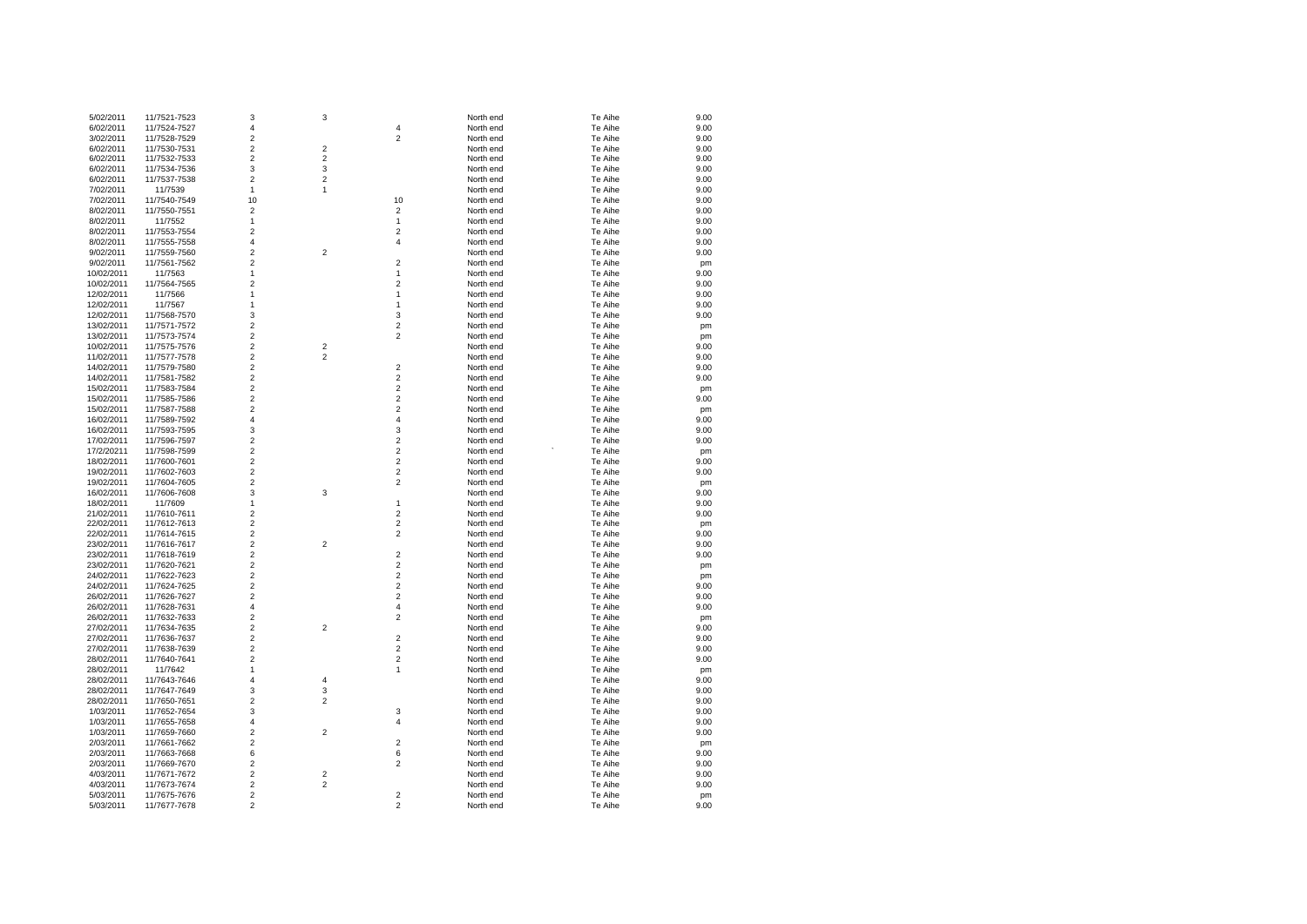| 5/02/2011  | 11/7521-7523 | 3                       | 3                       |                         | North end | Te Aihe | 9.00 |
|------------|--------------|-------------------------|-------------------------|-------------------------|-----------|---------|------|
| 6/02/2011  | 11/7524-7527 | 4                       |                         | 4                       | North end | Te Aihe | 9.00 |
| 3/02/2011  | 11/7528-7529 | 2                       |                         | $\boldsymbol{2}$        | North end | Te Aihe | 9.00 |
|            |              |                         | $\overline{\mathbf{c}}$ |                         | North end | Te Aihe | 9.00 |
| 6/02/2011  | 11/7530-7531 | 2                       |                         |                         |           |         |      |
| 6/02/2011  | 11/7532-7533 | 2                       | $\overline{\mathbf{c}}$ |                         | North end | Te Aihe | 9.00 |
| 6/02/2011  | 11/7534-7536 | 3                       | 3                       |                         | North end | Te Aihe | 9.00 |
| 6/02/2011  | 11/7537-7538 | $\boldsymbol{2}$        | $\overline{\mathbf{c}}$ |                         | North end | Te Aihe | 9.00 |
| 7/02/2011  | 11/7539      | 1                       | 1                       |                         | North end | Te Aihe | 9.00 |
| 7/02/2011  | 11/7540-7549 | 10                      |                         | 10                      | North end | Te Aihe | 9.00 |
| 8/02/2011  | 11/7550-7551 | $\overline{\mathbf{c}}$ |                         | $\overline{2}$          | North end | Te Aihe | 9.00 |
|            |              |                         |                         |                         |           |         |      |
| 8/02/2011  | 11/7552      | 1                       |                         | 1                       | North end | Te Aihe | 9.00 |
| 8/02/2011  | 11/7553-7554 | $\overline{\mathbf{c}}$ |                         | $\overline{2}$          | North end | Te Aihe | 9.00 |
| 8/02/2011  | 11/7555-7558 | 4                       |                         | 4                       | North end | Te Aihe | 9.00 |
| 9/02/2011  | 11/7559-7560 | $\overline{c}$          | 2                       |                         | North end | Te Aihe | 9.00 |
| 9/02/2011  | 11/7561-7562 | 2                       |                         | $\overline{\mathbf{c}}$ | North end | Te Aihe | pm   |
| 10/02/2011 | 11/7563      | 1                       |                         | 1                       | North end | Te Aihe | 9.00 |
|            |              |                         |                         |                         |           |         |      |
| 10/02/2011 | 11/7564-7565 | 2                       |                         | $\boldsymbol{2}$        | North end | Te Aihe | 9.00 |
| 12/02/2011 | 11/7566      | 1                       |                         | 1                       | North end | Te Aihe | 9.00 |
| 12/02/2011 | 11/7567      | 1                       |                         | 1                       | North end | Te Aihe | 9.00 |
| 12/02/2011 | 11/7568-7570 | 3                       |                         | 3                       | North end | Te Aihe | 9.00 |
| 13/02/2011 | 11/7571-7572 | 2                       |                         | $\boldsymbol{2}$        | North end | Te Aihe | pm   |
| 13/02/2011 | 11/7573-7574 | $\overline{\mathbf{c}}$ |                         | $\overline{2}$          | North end | Te Aihe | pm   |
| 10/02/2011 | 11/7575-7576 | $\boldsymbol{2}$        | 2                       |                         | North end | Te Aihe | 9.00 |
|            |              |                         |                         |                         |           |         |      |
| 11/02/2011 | 11/7577-7578 | $\overline{\mathbf{c}}$ | 2                       |                         | North end | Te Aihe | 9.00 |
| 14/02/2011 | 11/7579-7580 | 2                       |                         | $\overline{\mathbf{c}}$ | North end | Te Aihe | 9.00 |
| 14/02/2011 | 11/7581-7582 | 2                       |                         | $\overline{\mathbf{c}}$ | North end | Te Aihe | 9.00 |
| 15/02/2011 | 11/7583-7584 | $\overline{\mathbf{c}}$ |                         | $\overline{2}$          | North end | Te Aihe | pm   |
| 15/02/2011 | 11/7585-7586 | $\overline{\mathbf{c}}$ |                         | $\overline{2}$          | North end | Te Aihe | 9.00 |
| 15/02/2011 | 11/7587-7588 | 2                       |                         | $\mathbf 2$             | North end | Te Aihe |      |
|            |              |                         |                         |                         |           |         | pm   |
| 16/02/2011 | 11/7589-7592 | 4                       |                         | 4                       | North end | Te Aihe | 9.00 |
| 16/02/2011 | 11/7593-7595 | 3                       |                         | 3                       | North end | Te Aihe | 9.00 |
| 17/02/2011 | 11/7596-7597 | $\overline{\mathbf{c}}$ |                         | $\overline{c}$          | North end | Te Aihe | 9.00 |
| 17/2/20211 | 11/7598-7599 | $\overline{\mathbf{c}}$ |                         | $\overline{\mathbf{c}}$ | North end | Te Aihe | pm   |
| 18/02/2011 | 11/7600-7601 | 2                       |                         | $\mathbf 2$             | North end | Te Aihe | 9.00 |
| 19/02/2011 | 11/7602-7603 | $\overline{2}$          |                         | $\overline{2}$          | North end | Te Aihe | 9.00 |
|            |              |                         |                         | $\overline{2}$          |           |         |      |
| 19/02/2011 | 11/7604-7605 | 2                       |                         |                         | North end | Te Aihe | pm   |
| 16/02/2011 | 11/7606-7608 | 3                       | 3                       |                         | North end | Te Aihe | 9.00 |
| 18/02/2011 | 11/7609      | 1                       |                         | $\mathbf{1}$            | North end | Te Aihe | 9.00 |
| 21/02/2011 | 11/7610-7611 | $\overline{c}$          |                         | $\overline{2}$          | North end | Te Aihe | 9.00 |
| 22/02/2011 | 11/7612-7613 | $\boldsymbol{2}$        |                         | $\overline{c}$          | North end | Te Aihe | pm   |
| 22/02/2011 | 11/7614-7615 | $\overline{c}$          |                         | $\overline{2}$          | North end | Te Aihe | 9.00 |
|            |              |                         |                         |                         |           |         |      |
| 23/02/2011 | 11/7616-7617 | 2                       | 2                       |                         | North end | Te Aihe | 9.00 |
| 23/02/2011 | 11/7618-7619 | $\overline{c}$          |                         | $\overline{2}$          | North end | Te Aihe | 9.00 |
| 23/02/2011 | 11/7620-7621 | 2                       |                         | $\overline{c}$          | North end | Te Aihe | pm   |
| 24/02/2011 | 11/7622-7623 | $\overline{c}$          |                         | $\overline{2}$          | North end | Te Aihe | pm   |
| 24/02/2011 | 11/7624-7625 | $\overline{\mathbf{c}}$ |                         | $\overline{c}$          | North end | Te Aihe | 9.00 |
| 26/02/2011 | 11/7626-7627 | $\overline{c}$          |                         | $\overline{2}$          | North end | Te Aihe | 9.00 |
|            |              | 4                       |                         | 4                       | North end | Te Aihe | 9.00 |
| 26/02/2011 | 11/7628-7631 |                         |                         |                         |           |         |      |
| 26/02/2011 | 11/7632-7633 | $\overline{c}$          |                         | $\overline{2}$          | North end | Te Aihe | pm   |
| 27/02/2011 | 11/7634-7635 | $\overline{c}$          | 2                       |                         | North end | Te Aihe | 9.00 |
| 27/02/2011 | 11/7636-7637 | $\overline{c}$          |                         | $\overline{2}$          | North end | Te Aihe | 9.00 |
| 27/02/2011 | 11/7638-7639 | $\overline{2}$          |                         | $\overline{2}$          | North end | Te Aihe | 9.00 |
| 28/02/2011 | 11/7640-7641 | $\overline{c}$          |                         | $\overline{2}$          | North end | Te Aihe | 9.00 |
|            |              | $\mathbf{1}$            |                         | $\mathbf{1}$            |           |         |      |
| 28/02/2011 | 11/7642      |                         |                         |                         | North end | Te Aihe | pm   |
| 28/02/2011 | 11/7643-7646 | 4                       | 4                       |                         | North end | Te Aihe | 9.00 |
| 28/02/2011 | 11/7647-7649 | 3                       | 3                       |                         | North end | Te Aihe | 9.00 |
| 28/02/2011 | 11/7650-7651 | $\overline{c}$          | 2                       |                         | North end | Te Aihe | 9.00 |
| 1/03/2011  | 11/7652-7654 | 3                       |                         | 3                       | North end | Te Aihe | 9.00 |
| 1/03/2011  | 11/7655-7658 | 4                       |                         | 4                       | North end | Te Aihe | 9.00 |
|            |              | $\overline{2}$          | $\overline{c}$          |                         |           | Te Aihe |      |
| 1/03/2011  | 11/7659-7660 |                         |                         |                         | North end |         | 9.00 |
| 2/03/2011  | 11/7661-7662 | $\overline{\mathbf{c}}$ |                         | $\mathbf 2$             | North end | Te Aihe | pm   |
| 2/03/2011  | 11/7663-7668 | 6                       |                         | 6                       | North end | Te Aihe | 9.00 |
| 2/03/2011  | 11/7669-7670 | $\mathbf 2$             |                         | $\overline{2}$          | North end | Te Aihe | 9.00 |
| 4/03/2011  | 11/7671-7672 | $\overline{c}$          | $\overline{c}$          |                         | North end | Te Aihe | 9.00 |
| 4/03/2011  | 11/7673-7674 | $\overline{c}$          | $\overline{2}$          |                         | North end | Te Aihe | 9.00 |
|            |              | $\overline{c}$          |                         | $\overline{2}$          |           |         |      |
| 5/03/2011  | 11/7675-7676 |                         |                         |                         | North end | Te Aihe | pm   |
| 5/03/2011  | 11/7677-7678 | $\overline{2}$          |                         | $\overline{2}$          | North end | Te Aihe | 9.00 |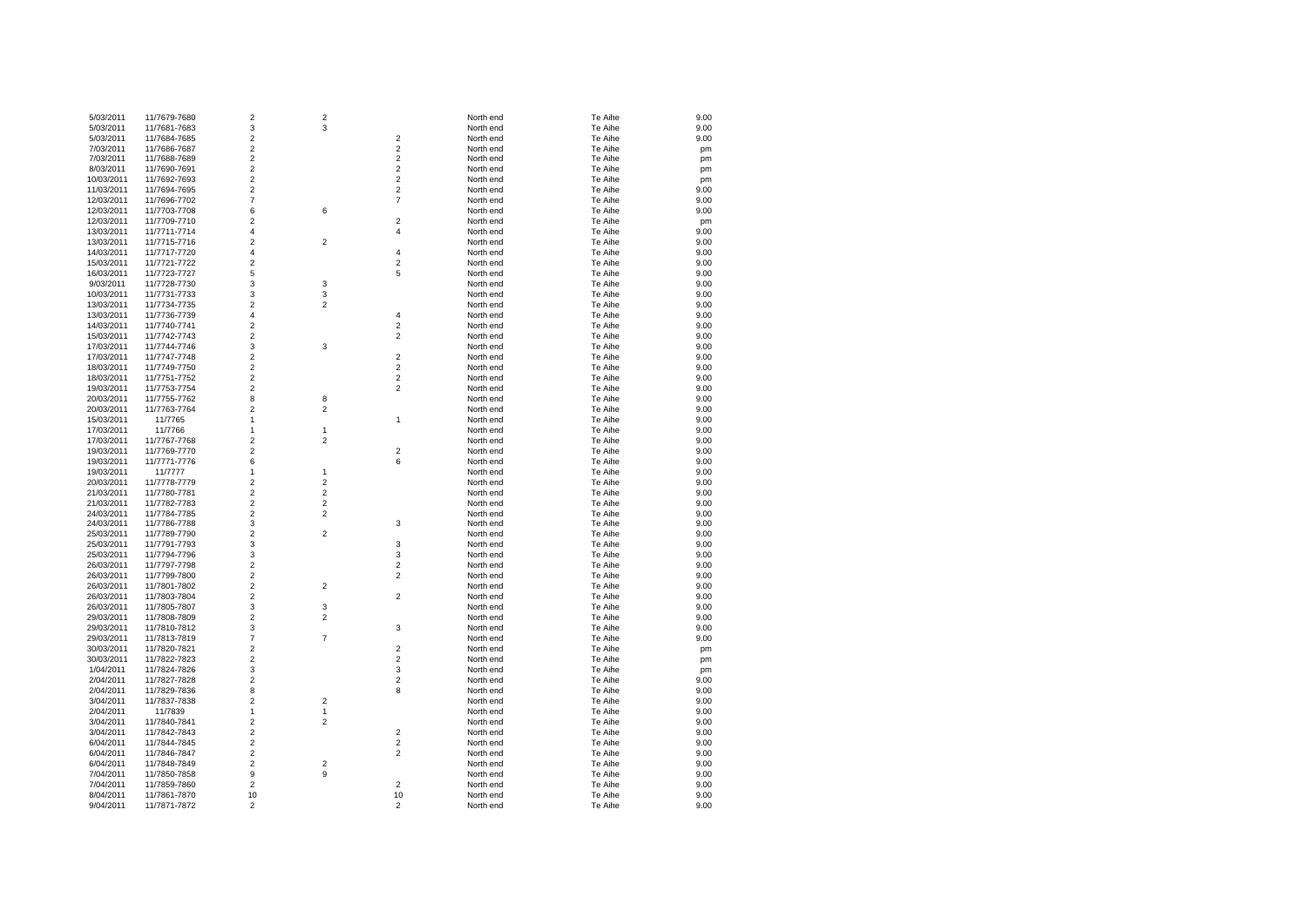| 5/03/2011  | 11/7679-7680 | 2                       | 2                       |                         | North end | Te Aihe | 9.00 |
|------------|--------------|-------------------------|-------------------------|-------------------------|-----------|---------|------|
| 5/03/2011  | 11/7681-7683 | 3                       | 3                       |                         | North end | Te Aihe | 9.00 |
| 5/03/2011  | 11/7684-7685 | 2                       |                         | $\overline{\mathbf{c}}$ | North end | Te Aihe | 9.00 |
| 7/03/2011  | 11/7686-7687 | 2                       |                         | $\boldsymbol{2}$        | North end | Te Aihe | pm   |
| 7/03/2011  | 11/7688-7689 | 2                       |                         | $\overline{\mathbf{c}}$ | North end | Te Aihe | pm   |
| 8/03/2011  | 11/7690-7691 | $\overline{c}$          |                         | $\mathbf 2$             | North end | Te Aihe |      |
|            |              |                         |                         |                         |           |         | pm   |
| 10/03/2011 | 11/7692-7693 | 2                       |                         | $\mathbf 2$             | North end | Te Aihe | pm   |
| 11/03/2011 | 11/7694-7695 | $\overline{\mathbf{c}}$ |                         | $\overline{2}$          | North end | Te Aihe | 9.00 |
| 12/03/2011 | 11/7696-7702 | 7                       |                         | $\overline{7}$          | North end | Te Aihe | 9.00 |
| 12/03/2011 | 11/7703-7708 | 6                       | 6                       |                         | North end | Te Aihe | 9.00 |
| 12/03/2011 | 11/7709-7710 | 2                       |                         | $\boldsymbol{2}$        | North end | Te Aihe | pm   |
| 13/03/2011 | 11/7711-7714 | 4                       |                         | 4                       | North end | Te Aihe | 9.00 |
| 13/03/2011 | 11/7715-7716 | 2                       | 2                       |                         | North end | Te Aihe | 9.00 |
|            |              |                         |                         |                         |           |         |      |
| 14/03/2011 | 11/7717-7720 | 4                       |                         | 4                       | North end | Te Aihe | 9.00 |
| 15/03/2011 | 11/7721-7722 | 2                       |                         | $\boldsymbol{2}$        | North end | Te Aihe | 9.00 |
| 16/03/2011 | 11/7723-7727 | 5                       |                         | 5                       | North end | Te Aihe | 9.00 |
| 9/03/2011  | 11/7728-7730 | 3                       | 3                       |                         | North end | Te Aihe | 9.00 |
| 10/03/2011 | 11/7731-7733 | 3                       | 3                       |                         | North end | Te Aihe | 9.00 |
| 13/03/2011 | 11/7734-7735 | 2                       | 2                       |                         | North end | Te Aihe | 9.00 |
| 13/03/2011 | 11/7736-7739 | 4                       |                         | 4                       | North end | Te Aihe | 9.00 |
| 14/03/2011 | 11/7740-7741 | 2                       |                         | $\boldsymbol{2}$        | North end | Te Aihe | 9.00 |
|            |              | $\overline{\mathbf{c}}$ |                         | $\overline{2}$          |           |         |      |
| 15/03/2011 | 11/7742-7743 |                         |                         |                         | North end | Te Aihe | 9.00 |
| 17/03/2011 | 11/7744-7746 | 3                       | 3                       |                         | North end | Te Aihe | 9.00 |
| 17/03/2011 | 11/7747-7748 | $\overline{\mathbf{c}}$ |                         | $\overline{2}$          | North end | Te Aihe | 9.00 |
| 18/03/2011 | 11/7749-7750 | 2                       |                         | $\boldsymbol{2}$        | North end | Te Aihe | 9.00 |
| 18/03/2011 | 11/7751-7752 | 2                       |                         | $\boldsymbol{2}$        | North end | Te Aihe | 9.00 |
| 19/03/2011 | 11/7753-7754 | $\overline{\mathbf{c}}$ |                         | $\overline{\mathbf{c}}$ | North end | Te Aihe | 9.00 |
| 20/03/2011 | 11/7755-7762 | 8                       | 8                       |                         | North end | Te Aihe | 9.00 |
| 20/03/2011 | 11/7763-7764 | 2                       | 2                       |                         | North end | Te Aihe | 9.00 |
|            |              |                         |                         | 1                       |           |         |      |
| 15/03/2011 | 11/7765      | 1                       |                         |                         | North end | Te Aihe | 9.00 |
| 17/03/2011 | 11/7766      | $\mathbf{1}$            | 1                       |                         | North end | Te Aihe | 9.00 |
| 17/03/2011 | 11/7767-7768 | $\overline{2}$          | 2                       |                         | North end | Te Aihe | 9.00 |
| 19/03/2011 | 11/7769-7770 | $\overline{\mathbf{c}}$ |                         | $\overline{\mathbf{c}}$ | North end | Te Aihe | 9.00 |
| 19/03/2011 | 11/7771-7776 | 6                       |                         | 6                       | North end | Te Aihe | 9.00 |
| 19/03/2011 | 11/7777      | 1                       | 1                       |                         | North end | Te Aihe | 9.00 |
| 20/03/2011 | 11/7778-7779 | 2                       | $\overline{\mathbf{c}}$ |                         | North end | Te Aihe | 9.00 |
| 21/03/2011 | 11/7780-7781 | $\overline{c}$          | 2                       |                         | North end | Te Aihe | 9.00 |
|            |              | $\overline{\mathbf{c}}$ | $\overline{\mathbf{c}}$ |                         |           |         |      |
| 21/03/2011 | 11/7782-7783 |                         |                         |                         | North end | Te Aihe | 9.00 |
| 24/03/2011 | 11/7784-7785 | $\overline{c}$          | 2                       |                         | North end | Te Aihe | 9.00 |
| 24/03/2011 | 11/7786-7788 | 3                       |                         | 3                       | North end | Te Aihe | 9.00 |
| 25/03/2011 | 11/7789-7790 | $\overline{c}$          | $\overline{2}$          |                         | North end | Te Aihe | 9.00 |
| 25/03/2011 | 11/7791-7793 | 3                       |                         | 3                       | North end | Te Aihe | 9.00 |
| 25/03/2011 | 11/7794-7796 | 3                       |                         | 3                       | North end | Te Aihe | 9.00 |
| 26/03/2011 | 11/7797-7798 | $\overline{\mathbf{c}}$ |                         | $\mathbf 2$             | North end | Te Aihe | 9.00 |
| 26/03/2011 | 11/7799-7800 | $\overline{c}$          |                         | $\overline{c}$          | North end | Te Aihe | 9.00 |
|            |              | $\mathbf 2$             | $\overline{\mathbf{c}}$ |                         |           | Te Aihe |      |
| 26/03/2011 | 11/7801-7802 |                         |                         |                         | North end |         | 9.00 |
| 26/03/2011 | 11/7803-7804 | $\overline{c}$          |                         | $\overline{2}$          | North end | Te Aihe | 9.00 |
| 26/03/2011 | 11/7805-7807 | 3                       | 3                       |                         | North end | Te Aihe | 9.00 |
| 29/03/2011 | 11/7808-7809 | $\overline{c}$          | 2                       |                         | North end | Te Aihe | 9.00 |
| 29/03/2011 | 11/7810-7812 | 3                       |                         | 3                       | North end | Te Aihe | 9.00 |
| 29/03/2011 | 11/7813-7819 | $\overline{7}$          | $\overline{7}$          |                         | North end | Te Aihe | 9.00 |
| 30/03/2011 | 11/7820-7821 | $\overline{c}$          |                         | $\overline{2}$          | North end | Te Aihe | pm   |
| 30/03/2011 | 11/7822-7823 | $\overline{c}$          |                         | $\overline{2}$          | North end | Te Aihe | pm   |
| 1/04/2011  | 11/7824-7826 | 3                       |                         | 3                       | North end | Te Aihe |      |
|            |              |                         |                         |                         |           |         | pm   |
| 2/04/2011  | 11/7827-7828 | $\overline{c}$          |                         | $\overline{c}$          | North end | Te Aihe | 9.00 |
| 2/04/2011  | 11/7829-7836 | 8                       |                         | 8                       | North end | Te Aihe | 9.00 |
| 3/04/2011  | 11/7837-7838 | $\overline{c}$          | $\overline{c}$          |                         | North end | Te Aihe | 9.00 |
| 2/04/2011  | 11/7839      | $\mathbf{1}$            | $\mathbf{1}$            |                         | North end | Te Aihe | 9.00 |
| 3/04/2011  | 11/7840-7841 | $\overline{c}$          | 2                       |                         | North end | Te Aihe | 9.00 |
| 3/04/2011  | 11/7842-7843 | $\overline{2}$          |                         | $\overline{2}$          | North end | Te Aihe | 9.00 |
| 6/04/2011  | 11/7844-7845 | $\overline{\mathbf{c}}$ |                         | $\overline{\mathbf{c}}$ | North end | Te Aihe | 9.00 |
| 6/04/2011  | 11/7846-7847 | $\overline{c}$          |                         | $\overline{\mathbf{c}}$ | North end | Te Aihe | 9.00 |
|            |              | $\mathbf 2$             | $\overline{\mathbf{c}}$ |                         | North end | Te Aihe |      |
| 6/04/2011  | 11/7848-7849 |                         |                         |                         |           |         | 9.00 |
| 7/04/2011  | 11/7850-7858 | 9                       | 9                       |                         | North end | Te Aihe | 9.00 |
| 7/04/2011  | 11/7859-7860 | $\overline{2}$          |                         | $\overline{2}$          | North end | Te Aihe | 9.00 |
| 8/04/2011  | 11/7861-7870 | 10                      |                         | 10                      | North end | Te Aihe | 9.00 |
| 9/04/2011  | 11/7871-7872 | $\overline{2}$          |                         | $\overline{2}$          | North end | Te Aihe | 9.00 |
|            |              |                         |                         |                         |           |         |      |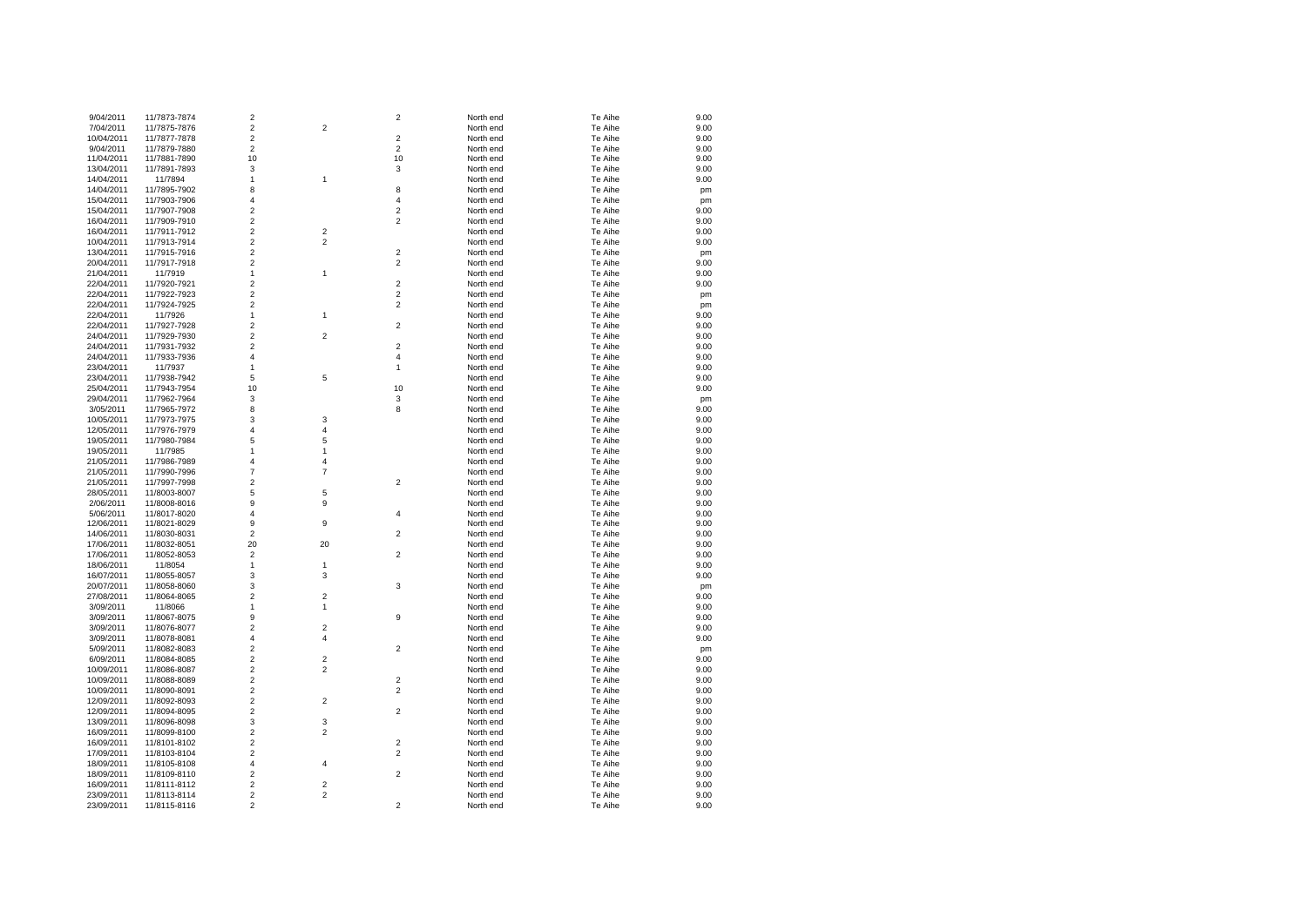| 9/04/2011  | 11/7873-7874 | $\overline{2}$   |                         | $\overline{2}$   | North end | Te Aihe | 9.00 |
|------------|--------------|------------------|-------------------------|------------------|-----------|---------|------|
| 7/04/2011  | 11/7875-7876 | $\boldsymbol{2}$ | 2                       |                  | North end | Te Aihe | 9.00 |
| 10/04/2011 | 11/7877-7878 | $\overline{2}$   |                         | $\overline{2}$   | North end | Te Aihe | 9.00 |
| 9/04/2011  | 11/7879-7880 | $\boldsymbol{2}$ |                         | $\boldsymbol{2}$ | North end | Te Aihe | 9.00 |
| 11/04/2011 | 11/7881-7890 | 10               |                         | 10               | North end | Te Aihe | 9.00 |
| 13/04/2011 | 11/7891-7893 | 3                |                         | 3                | North end | Te Aihe | 9.00 |
| 14/04/2011 | 11/7894      | $\mathbf{1}$     | 1                       |                  | North end | Te Aihe | 9.00 |
| 14/04/2011 | 11/7895-7902 | 8                |                         | 8                | North end | Te Aihe |      |
|            |              |                  |                         |                  |           |         | pm   |
| 15/04/2011 | 11/7903-7906 | 4                |                         | 4                | North end | Te Aihe | pm   |
| 15/04/2011 | 11/7907-7908 | $\overline{2}$   |                         | $\overline{2}$   | North end | Te Aihe | 9.00 |
| 16/04/2011 | 11/7909-7910 | $\overline{2}$   |                         | $\overline{2}$   | North end | Te Aihe | 9.00 |
| 16/04/2011 | 11/7911-7912 | $\boldsymbol{2}$ | 2                       |                  | North end | Te Aihe | 9.00 |
| 10/04/2011 | 11/7913-7914 | $\mathbf 2$      | $\overline{\mathbf{c}}$ |                  | North end | Te Aihe | 9.00 |
| 13/04/2011 | 11/7915-7916 | $\overline{2}$   |                         | $\overline{2}$   | North end | Te Aihe | pm   |
| 20/04/2011 | 11/7917-7918 | $\overline{2}$   |                         | $\overline{2}$   | North end | Te Aihe | 9.00 |
| 21/04/2011 | 11/7919      | $\mathbf{1}$     | 1                       |                  | North end | Te Aihe | 9.00 |
| 22/04/2011 | 11/7920-7921 | $\overline{2}$   |                         | $\overline{2}$   | North end | Te Aihe | 9.00 |
| 22/04/2011 | 11/7922-7923 | $\overline{2}$   |                         | $\overline{2}$   | North end | Te Aihe | pm   |
| 22/04/2011 | 11/7924-7925 | $\overline{2}$   |                         | $\overline{2}$   | North end | Te Aihe | pm   |
| 22/04/2011 | 11/7926      | $\mathbf{1}$     | 1                       |                  | North end | Te Aihe | 9.00 |
| 22/04/2011 | 11/7927-7928 | $\mathbf 2$      |                         | $\overline{2}$   | North end | Te Aihe | 9.00 |
| 24/04/2011 | 11/7929-7930 | $\overline{2}$   | $\overline{c}$          |                  | North end | Te Aihe | 9.00 |
|            |              | $\overline{2}$   |                         | $\mathbf 2$      |           | Te Aihe |      |
| 24/04/2011 | 11/7931-7932 |                  |                         |                  | North end |         | 9.00 |
| 24/04/2011 | 11/7933-7936 | 4                |                         | 4                | North end | Te Aihe | 9.00 |
| 23/04/2011 | 11/7937      | $\mathbf{1}$     |                         | $\mathbf{1}$     | North end | Te Aihe | 9.00 |
| 23/04/2011 | 11/7938-7942 | 5                | 5                       |                  | North end | Te Aihe | 9.00 |
| 25/04/2011 | 11/7943-7954 | 10               |                         | 10               | North end | Te Aihe | 9.00 |
| 29/04/2011 | 11/7962-7964 | 3                |                         | 3                | North end | Te Aihe | pm   |
| 3/05/2011  | 11/7965-7972 | 8                |                         | 8                | North end | Te Aihe | 9.00 |
| 10/05/2011 | 11/7973-7975 | 3                | 3                       |                  | North end | Te Aihe | 9.00 |
| 12/05/2011 | 11/7976-7979 | $\overline{4}$   | $\overline{4}$          |                  | North end | Te Aihe | 9.00 |
| 19/05/2011 | 11/7980-7984 | 5                | 5                       |                  | North end | Te Aihe | 9.00 |
| 19/05/2011 | 11/7985      | $\mathbf{1}$     | $\mathbf{1}$            |                  | North end | Te Aihe | 9.00 |
| 21/05/2011 | 11/7986-7989 | 4                | 4                       |                  | North end | Te Aihe | 9.00 |
| 21/05/2011 | 11/7990-7996 | 7                | 7                       |                  | North end | Te Aihe | 9.00 |
| 21/05/2011 | 11/7997-7998 | $\boldsymbol{2}$ |                         | 2                | North end | Te Aihe | 9.00 |
|            |              | 5                |                         |                  |           |         |      |
| 28/05/2011 | 11/8003-8007 |                  | 5                       |                  | North end | Te Aihe | 9.00 |
| 2/06/2011  | 11/8008-8016 | 9                | 9                       |                  | North end | Te Aihe | 9.00 |
| 5/06/2011  | 11/8017-8020 | 4                |                         | 4                | North end | Te Aihe | 9.00 |
| 12/06/2011 | 11/8021-8029 | 9                | 9                       |                  | North end | Te Aihe | 9.00 |
| 14/06/2011 | 11/8030-8031 | $\overline{2}$   |                         | $\overline{2}$   | North end | Te Aihe | 9.00 |
| 17/06/2011 | 11/8032-8051 | 20               | 20                      |                  | North end | Te Aihe | 9.00 |
| 17/06/2011 | 11/8052-8053 | $\overline{2}$   |                         | $\overline{2}$   | North end | Te Aihe | 9.00 |
| 18/06/2011 | 11/8054      | 1                | 1                       |                  | North end | Te Aihe | 9.00 |
| 16/07/2011 | 11/8055-8057 | 3                | 3                       |                  | North end | Te Aihe | 9.00 |
| 20/07/2011 | 11/8058-8060 | 3                |                         | 3                | North end | Te Aihe | pm   |
| 27/08/2011 | 11/8064-8065 | $\overline{2}$   | $\overline{c}$          |                  | North end | Te Aihe | 9.00 |
| 3/09/2011  | 11/8066      | $\mathbf{1}$     | 1                       |                  | North end | Te Aihe | 9.00 |
| 3/09/2011  | 11/8067-8075 | 9                |                         | 9                | North end | Te Aihe | 9.00 |
| 3/09/2011  | 11/8076-8077 | $\overline{2}$   | $\overline{\mathbf{c}}$ |                  | North end | Te Aihe | 9.00 |
|            |              |                  |                         |                  |           |         |      |
| 3/09/2011  | 11/8078-8081 | 4                | 4                       |                  | North end | Te Aihe | 9.00 |
| 5/09/2011  | 11/8082-8083 | $\overline{2}$   |                         | $\overline{2}$   | North end | Te Aihe | pm   |
| 6/09/2011  | 11/8084-8085 | $\overline{2}$   | $\overline{c}$          |                  | North end | Te Aihe | 9.00 |
| 10/09/2011 | 11/8086-8087 | $\mathbf 2$      | $\overline{c}$          |                  | North end | Te Aihe | 9.00 |
| 10/09/2011 | 11/8088-8089 | $\mathbf 2$      |                         | $\overline{2}$   | North end | Te Aihe | 9.00 |
| 10/09/2011 | 11/8090-8091 | $\overline{2}$   |                         | $\overline{2}$   | North end | Te Aihe | 9.00 |
| 12/09/2011 | 11/8092-8093 | $\overline{2}$   | $\overline{c}$          |                  | North end | Te Aihe | 9.00 |
| 12/09/2011 | 11/8094-8095 | $\overline{2}$   |                         | $\overline{2}$   | North end | Te Aihe | 9.00 |
| 13/09/2011 | 11/8096-8098 | 3                | 3                       |                  | North end | Te Aihe | 9.00 |
| 16/09/2011 | 11/8099-8100 | $\overline{2}$   | $\overline{2}$          |                  | North end | Te Aihe | 9.00 |
| 16/09/2011 | 11/8101-8102 | $\overline{2}$   |                         | $\boldsymbol{2}$ | North end | Te Aihe | 9.00 |
| 17/09/2011 | 11/8103-8104 | $\overline{c}$   |                         | $\overline{2}$   | North end | Te Aihe | 9.00 |
| 18/09/2011 | 11/8105-8108 | $\overline{4}$   | $\overline{4}$          |                  | North end | Te Aihe | 9.00 |
| 18/09/2011 | 11/8109-8110 | $\overline{2}$   |                         | $\overline{2}$   | North end | Te Aihe | 9.00 |
| 16/09/2011 | 11/8111-8112 | $\overline{2}$   | $\overline{\mathbf{c}}$ |                  | North end | Te Aihe | 9.00 |
|            |              | $\overline{2}$   | $\overline{2}$          |                  | North end | Te Aihe |      |
| 23/09/2011 | 11/8113-8114 |                  |                         |                  |           |         | 9.00 |
| 23/09/2011 | 11/8115-8116 | $\overline{2}$   |                         | $\overline{2}$   | North end | Te Aihe | 9.00 |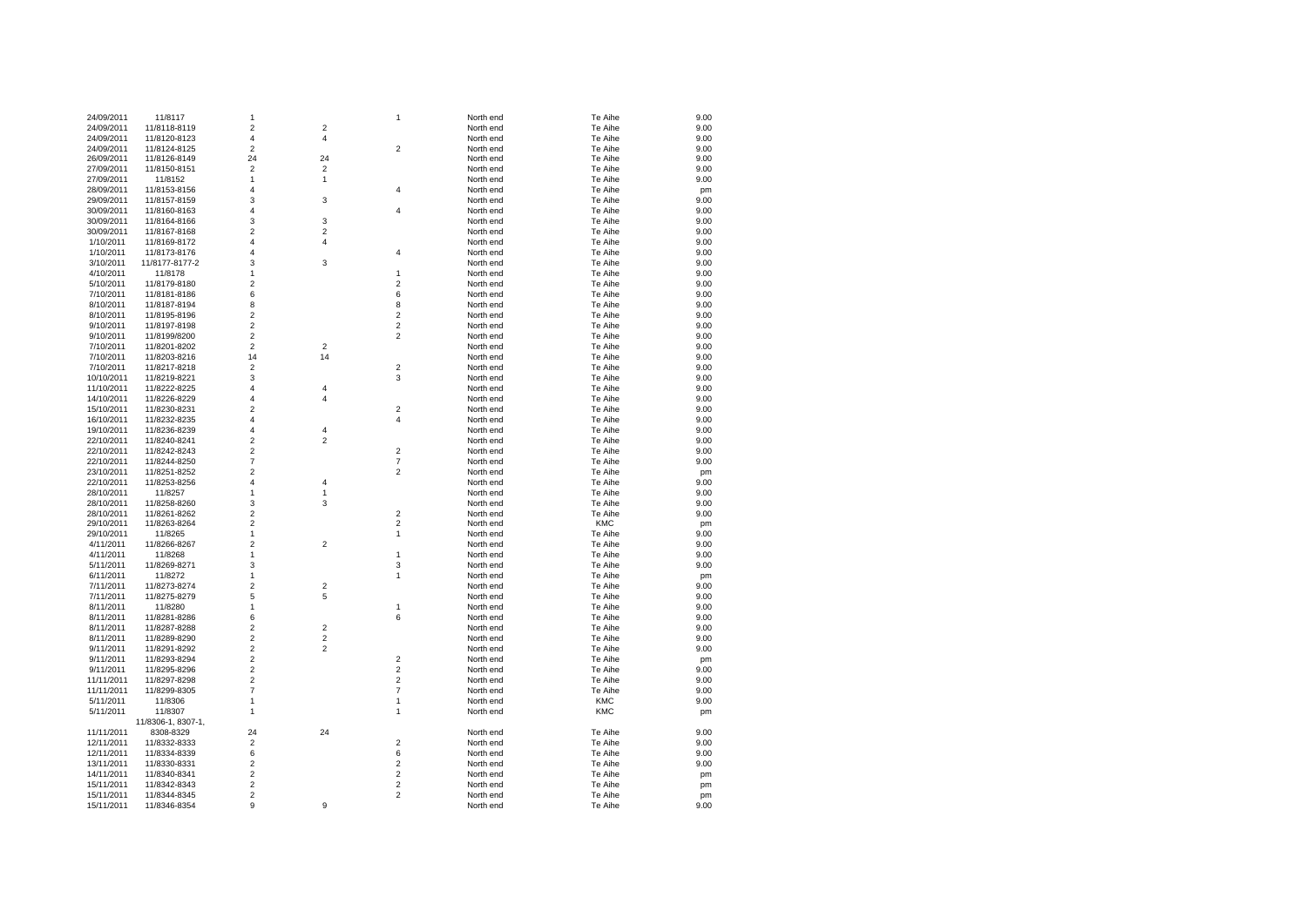| 24/09/2011 | 11/8117            | 1                       |                         | 1                       | North end | Te Aihe    | 9.00 |
|------------|--------------------|-------------------------|-------------------------|-------------------------|-----------|------------|------|
| 24/09/2011 | 11/8118-8119       | $\overline{\mathbf{c}}$ | 2                       |                         | North end | Te Aihe    | 9.00 |
| 24/09/2011 | 11/8120-8123       | 4                       | 4                       |                         | North end | Te Aihe    | 9.00 |
| 24/09/2011 | 11/8124-8125       | $\boldsymbol{2}$        |                         | $\overline{\mathbf{c}}$ | North end | Te Aihe    | 9.00 |
| 26/09/2011 | 11/8126-8149       | 24                      | 24                      |                         | North end | Te Aihe    | 9.00 |
| 27/09/2011 | 11/8150-8151       | $\overline{2}$          | 2                       |                         | North end | Te Aihe    | 9.00 |
| 27/09/2011 | 11/8152            | 1                       | 1                       |                         | North end | Te Aihe    | 9.00 |
| 28/09/2011 | 11/8153-8156       | 4                       |                         | 4                       | North end | Te Aihe    |      |
|            |                    |                         |                         |                         |           |            | pm   |
| 29/09/2011 | 11/8157-8159       | 3                       | 3                       |                         | North end | Te Aihe    | 9.00 |
| 30/09/2011 | 11/8160-8163       | 4                       |                         | $\overline{4}$          | North end | Te Aihe    | 9.00 |
| 30/09/2011 | 11/8164-8166       | 3                       | 3                       |                         | North end | Te Aihe    | 9.00 |
| 30/09/2011 | 11/8167-8168       | $\overline{2}$          | $\overline{\mathbf{c}}$ |                         | North end | Te Aihe    | 9.00 |
| 1/10/2011  | 11/8169-8172       | 4                       | 4                       |                         | North end | Te Aihe    | 9.00 |
| 1/10/2011  | 11/8173-8176       | 4                       |                         | $\overline{4}$          | North end | Te Aihe    | 9.00 |
| 3/10/2011  | 11/8177-8177-2     | 3                       | 3                       |                         | North end | Te Aihe    | 9.00 |
| 4/10/2011  | 11/8178            | $\mathbf{1}$            |                         | 1                       | North end | Te Aihe    | 9.00 |
| 5/10/2011  | 11/8179-8180       | $\boldsymbol{2}$        |                         | $\boldsymbol{2}$        | North end | Te Aihe    | 9.00 |
| 7/10/2011  | 11/8181-8186       | 6                       |                         | 6                       | North end | Te Aihe    | 9.00 |
| 8/10/2011  | 11/8187-8194       | 8                       |                         | 8                       | North end | Te Aihe    | 9.00 |
| 8/10/2011  | 11/8195-8196       | $\overline{2}$          |                         | $\overline{\mathbf{c}}$ | North end | Te Aihe    | 9.00 |
|            |                    | $\mathbf 2$             |                         | $\mathbf 2$             |           |            |      |
| 9/10/2011  | 11/8197-8198       |                         |                         |                         | North end | Te Aihe    | 9.00 |
| 9/10/2011  | 11/8199/8200       | $\overline{2}$          |                         | $\overline{2}$          | North end | Te Aihe    | 9.00 |
| 7/10/2011  | 11/8201-8202       | $\overline{2}$          | $\overline{\mathbf{c}}$ |                         | North end | Te Aihe    | 9.00 |
| 7/10/2011  | 11/8203-8216       | 14                      | 14                      |                         | North end | Te Aihe    | 9.00 |
| 7/10/2011  | 11/8217-8218       | $\overline{2}$          |                         | $\overline{2}$          | North end | Te Aihe    | 9.00 |
| 10/10/2011 | 11/8219-8221       | 3                       |                         | 3                       | North end | Te Aihe    | 9.00 |
| 11/10/2011 | 11/8222-8225       | $\overline{4}$          | 4                       |                         | North end | Te Aihe    | 9.00 |
| 14/10/2011 | 11/8226-8229       | $\overline{4}$          | 4                       |                         | North end | Te Aihe    | 9.00 |
| 15/10/2011 | 11/8230-8231       | $\overline{2}$          |                         | $\overline{2}$          | North end | Te Aihe    | 9.00 |
| 16/10/2011 | 11/8232-8235       | $\overline{4}$          |                         | $\overline{4}$          | North end | Te Aihe    | 9.00 |
| 19/10/2011 | 11/8236-8239       | $\overline{4}$          | $\overline{4}$          |                         | North end | Te Aihe    | 9.00 |
| 22/10/2011 | 11/8240-8241       | $\overline{2}$          | $\overline{2}$          |                         | North end | Te Aihe    | 9.00 |
| 22/10/2011 | 11/8242-8243       | $\overline{2}$          |                         | $\overline{2}$          | North end | Te Aihe    | 9.00 |
|            |                    | $\overline{7}$          |                         | $\overline{7}$          | North end | Te Aihe    |      |
| 22/10/2011 | 11/8244-8250       |                         |                         |                         |           |            | 9.00 |
| 23/10/2011 | 11/8251-8252       | $\boldsymbol{2}$        |                         | $\boldsymbol{2}$        | North end | Te Aihe    | pm   |
| 22/10/2011 | 11/8253-8256       | 4                       | 4                       |                         | North end | Te Aihe    | 9.00 |
| 28/10/2011 | 11/8257            | $\mathbf{1}$            | 1                       |                         | North end | Te Aihe    | 9.00 |
| 28/10/2011 | 11/8258-8260       | 3                       | 3                       |                         | North end | Te Aihe    | 9.00 |
| 28/10/2011 | 11/8261-8262       | $\boldsymbol{2}$        |                         | $\mathbf 2$             | North end | Te Aihe    | 9.00 |
| 29/10/2011 | 11/8263-8264       | $\overline{2}$          |                         | $\boldsymbol{2}$        | North end | <b>KMC</b> | pm   |
| 29/10/2011 | 11/8265            | $\mathbf{1}$            |                         | 1                       | North end | Te Aihe    | 9.00 |
| 4/11/2011  | 11/8266-8267       | $\overline{c}$          | 2                       |                         | North end | Te Aihe    | 9.00 |
| 4/11/2011  | 11/8268            | $\mathbf{1}$            |                         | 1                       | North end | Te Aihe    | 9.00 |
| 5/11/2011  | 11/8269-8271       | 3                       |                         | 3                       | North end | Te Aihe    | 9.00 |
| 6/11/2011  | 11/8272            | $\mathbf{1}$            |                         | 1                       | North end | Te Aihe    | pm   |
| 7/11/2011  | 11/8273-8274       | $\boldsymbol{2}$        | $\overline{c}$          |                         | North end | Te Aihe    | 9.00 |
|            |                    | 5                       | 5                       |                         |           | Te Aihe    |      |
| 7/11/2011  | 11/8275-8279       |                         |                         |                         | North end |            | 9.00 |
| 8/11/2011  | 11/8280            | $\mathbf{1}$            |                         | 1                       | North end | Te Aihe    | 9.00 |
| 8/11/2011  | 11/8281-8286       | 6                       |                         | 6                       | North end | Te Aihe    | 9.00 |
| 8/11/2011  | 11/8287-8288       | $\overline{2}$          | $\overline{\mathbf{c}}$ |                         | North end | Te Aihe    | 9.00 |
| 8/11/2011  | 11/8289-8290       | $\boldsymbol{2}$        | $\overline{\mathbf{c}}$ |                         | North end | Te Aihe    | 9.00 |
| 9/11/2011  | 11/8291-8292       | $\overline{2}$          | $\overline{2}$          |                         | North end | Te Aihe    | 9.00 |
| 9/11/2011  | 11/8293-8294       | $\boldsymbol{2}$        |                         | $\mathbf 2$             | North end | Te Aihe    | pm   |
| 9/11/2011  | 11/8295-8296       | $\overline{c}$          |                         | $\overline{c}$          | North end | Te Aihe    | 9.00 |
| 11/11/2011 | 11/8297-8298       | $\mathbf 2$             |                         | $\mathbf 2$             | North end | Te Aihe    | 9.00 |
| 11/11/2011 | 11/8299-8305       | $\overline{7}$          |                         | $\overline{7}$          | North end | Te Aihe    | 9.00 |
| 5/11/2011  | 11/8306            | $\mathbf{1}$            |                         | 1                       | North end | <b>KMC</b> | 9.00 |
| 5/11/2011  | 11/8307            | $\mathbf{1}$            |                         | 1                       | North end | KMC        | pm   |
|            | 11/8306-1, 8307-1, |                         |                         |                         |           |            |      |
|            |                    | 24                      |                         |                         |           |            |      |
| 11/11/2011 | 8308-8329          |                         | 24                      |                         | North end | Te Aihe    | 9.00 |
| 12/11/2011 | 11/8332-8333       | $\overline{2}$          |                         | $\mathbf 2$             | North end | Te Aihe    | 9.00 |
| 12/11/2011 | 11/8334-8339       | 6                       |                         | 6                       | North end | Te Aihe    | 9.00 |
| 13/11/2011 | 11/8330-8331       | $\overline{2}$          |                         | $\overline{2}$          | North end | Te Aihe    | 9.00 |
| 14/11/2011 | 11/8340-8341       | $\overline{2}$          |                         | $\overline{2}$          | North end | Te Aihe    | pm   |
| 15/11/2011 | 11/8342-8343       | $\overline{2}$          |                         | $\overline{2}$          | North end | Te Aihe    | pm   |
| 15/11/2011 | 11/8344-8345       | $\overline{2}$          |                         | $\overline{2}$          | North end | Te Aihe    | pm   |
| 15/11/2011 | 11/8346-8354       | 9                       | 9                       |                         | North end | Te Aihe    | 9.00 |
|            |                    |                         |                         |                         |           |            |      |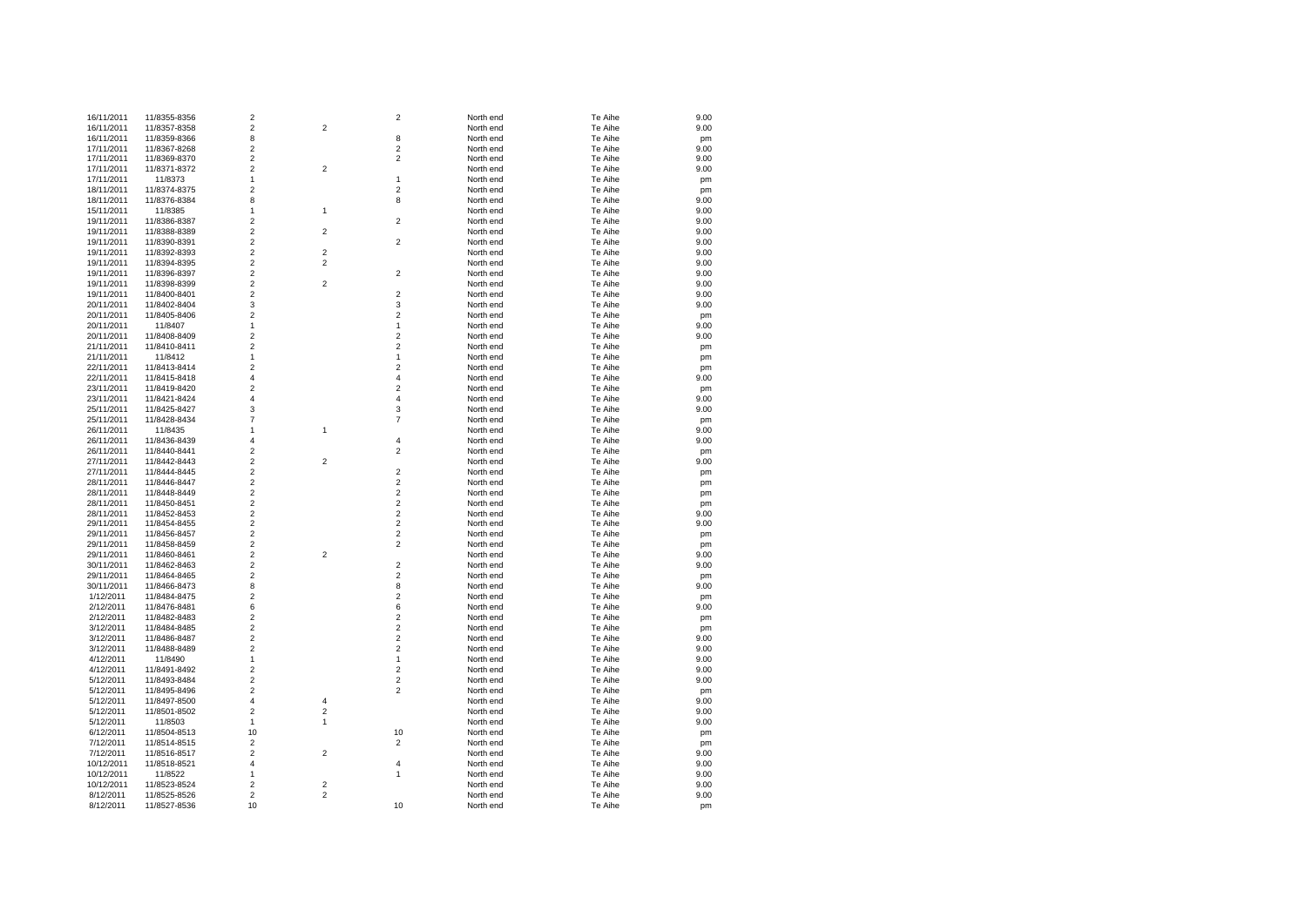| 16/11/2011 | 11/8355-8356 | $\overline{2}$          |                         | $\overline{2}$          | North end | Te Aihe | 9.00 |
|------------|--------------|-------------------------|-------------------------|-------------------------|-----------|---------|------|
| 16/11/2011 | 11/8357-8358 | $\boldsymbol{2}$        | 2                       |                         | North end | Te Aihe | 9.00 |
| 16/11/2011 | 11/8359-8366 | 8                       |                         | 8                       | North end | Te Aihe | pm   |
| 17/11/2011 | 11/8367-8268 | $\boldsymbol{2}$        |                         | $\boldsymbol{2}$        | North end | Te Aihe | 9.00 |
| 17/11/2011 | 11/8369-8370 | $\overline{2}$          |                         | $\overline{2}$          | North end | Te Aihe | 9.00 |
| 17/11/2011 | 11/8371-8372 | $\overline{\mathbf{c}}$ | 2                       |                         | North end | Te Aihe | 9.00 |
| 17/11/2011 | 11/8373      | $\mathbf{1}$            |                         | 1                       | North end | Te Aihe |      |
|            |              |                         |                         |                         |           |         | pm   |
| 18/11/2011 | 11/8374-8375 | $\overline{2}$          |                         | $\mathbf 2$             | North end | Te Aihe | pm   |
| 18/11/2011 | 11/8376-8384 | 8                       |                         | 8                       | North end | Te Aihe | 9.00 |
| 15/11/2011 | 11/8385      | $\mathbf{1}$            | 1                       |                         | North end | Te Aihe | 9.00 |
| 19/11/2011 | 11/8386-8387 | $\mathbf 2$             |                         | $\overline{c}$          | North end | Te Aihe | 9.00 |
| 19/11/2011 | 11/8388-8389 | $\mathbf 2$             | $\overline{\mathbf{c}}$ |                         | North end | Te Aihe | 9.00 |
| 19/11/2011 | 11/8390-8391 | $\mathbf 2$             |                         | $\overline{c}$          | North end | Te Aihe | 9.00 |
| 19/11/2011 | 11/8392-8393 | $\overline{\mathbf{c}}$ | $\overline{c}$          |                         | North end | Te Aihe | 9.00 |
| 19/11/2011 | 11/8394-8395 | $\mathbf 2$             | $\overline{c}$          |                         | North end | Te Aihe | 9.00 |
| 19/11/2011 | 11/8396-8397 | $\overline{\mathbf{c}}$ |                         | $\overline{c}$          | North end | Te Aihe | 9.00 |
| 19/11/2011 | 11/8398-8399 | $\overline{2}$          | $\overline{2}$          |                         | North end | Te Aihe | 9.00 |
| 19/11/2011 | 11/8400-8401 | $\overline{c}$          |                         | $\overline{c}$          | North end | Te Aihe | 9.00 |
|            |              | 3                       |                         | 3                       |           | Te Aihe |      |
| 20/11/2011 | 11/8402-8404 | $\overline{c}$          |                         | $\overline{c}$          | North end |         | 9.00 |
| 20/11/2011 | 11/8405-8406 |                         |                         |                         | North end | Te Aihe | pm   |
| 20/11/2011 | 11/8407      | $\mathbf{1}$            |                         | 1                       | North end | Te Aihe | 9.00 |
| 20/11/2011 | 11/8408-8409 | $\overline{c}$          |                         | $\overline{c}$          | North end | Te Aihe | 9.00 |
| 21/11/2011 | 11/8410-8411 | $\overline{\mathbf{c}}$ |                         | $\mathbf 2$             | North end | Te Aihe | pm   |
| 21/11/2011 | 11/8412      | $\mathbf{1}$            |                         | 1                       | North end | Te Aihe | pm   |
| 22/11/2011 | 11/8413-8414 | $\overline{c}$          |                         | $\overline{2}$          | North end | Te Aihe | pm   |
| 22/11/2011 | 11/8415-8418 | $\overline{4}$          |                         | 4                       | North end | Te Aihe | 9.00 |
| 23/11/2011 | 11/8419-8420 | $\overline{2}$          |                         | $\overline{2}$          | North end | Te Aihe | pm   |
| 23/11/2011 | 11/8421-8424 | $\overline{4}$          |                         | $\overline{\mathbf{4}}$ | North end | Te Aihe | 9.00 |
| 25/11/2011 | 11/8425-8427 | 3                       |                         | 3                       | North end | Te Aihe | 9.00 |
| 25/11/2011 | 11/8428-8434 | $\overline{7}$          |                         | $\overline{7}$          | North end | Te Aihe |      |
|            |              | $\mathbf{1}$            |                         |                         |           |         | pm   |
| 26/11/2011 | 11/8435      |                         | 1                       |                         | North end | Te Aihe | 9.00 |
| 26/11/2011 | 11/8436-8439 | $\overline{4}$          |                         | $\overline{4}$          | North end | Te Aihe | 9.00 |
| 26/11/2011 | 11/8440-8441 | $\overline{2}$          |                         | $\overline{2}$          | North end | Te Aihe | pm   |
| 27/11/2011 | 11/8442-8443 | $\mathbf 2$             | $\overline{\mathbf{c}}$ |                         | North end | Te Aihe | 9.00 |
| 27/11/2011 | 11/8444-8445 | $\overline{2}$          |                         | $\overline{2}$          | North end | Te Aihe | pm   |
| 28/11/2011 | 11/8446-8447 | $\boldsymbol{2}$        |                         | $\boldsymbol{2}$        | North end | Te Aihe | pm   |
| 28/11/2011 | 11/8448-8449 | $\overline{2}$          |                         | $\overline{2}$          | North end | Te Aihe | pm   |
| 28/11/2011 | 11/8450-8451 | $\boldsymbol{2}$        |                         | $\boldsymbol{2}$        | North end | Te Aihe | pm   |
| 28/11/2011 | 11/8452-8453 | $\overline{2}$          |                         | $\overline{2}$          | North end | Te Aihe | 9.00 |
| 29/11/2011 | 11/8454-8455 | $\boldsymbol{2}$        |                         | $\boldsymbol{2}$        | North end | Te Aihe | 9.00 |
| 29/11/2011 | 11/8456-8457 | $\overline{2}$          |                         | $\overline{2}$          | North end | Te Aihe |      |
|            |              |                         |                         |                         |           |         | pm   |
| 29/11/2011 | 11/8458-8459 | $\boldsymbol{2}$        |                         | $\boldsymbol{2}$        | North end | Te Aihe | pm   |
| 29/11/2011 | 11/8460-8461 | $\overline{2}$          | $\overline{c}$          |                         | North end | Te Aihe | 9.00 |
| 30/11/2011 | 11/8462-8463 | $\boldsymbol{2}$        |                         | $\boldsymbol{2}$        | North end | Te Aihe | 9.00 |
| 29/11/2011 | 11/8464-8465 | $\overline{2}$          |                         | $\overline{2}$          | North end | Te Aihe | pm   |
| 30/11/2011 | 11/8466-8473 | 8                       |                         | 8                       | North end | Te Aihe | 9.00 |
| 1/12/2011  | 11/8484-8475 | $\overline{2}$          |                         | $\overline{2}$          | North end | Te Aihe | pm   |
| 2/12/2011  | 11/8476-8481 | 6                       |                         | 6                       | North end | Te Aihe | 9.00 |
| 2/12/2011  | 11/8482-8483 | $\overline{2}$          |                         | $\overline{\mathbf{c}}$ | North end | Te Aihe | pm   |
| 3/12/2011  | 11/8484-8485 | $\overline{2}$          |                         | $\mathbf 2$             | North end | Te Aihe | pm   |
| 3/12/2011  | 11/8486-8487 | $\overline{2}$          |                         | $\overline{2}$          | North end | Te Aihe | 9.00 |
| 3/12/2011  | 11/8488-8489 | $\overline{2}$          |                         | $\overline{2}$          | North end | Te Aihe | 9.00 |
|            |              |                         |                         |                         |           |         |      |
| 4/12/2011  | 11/8490      | $\mathbf{1}$            |                         | 1                       | North end | Te Aihe | 9.00 |
| 4/12/2011  | 11/8491-8492 | $\mathbf 2$             |                         | $\boldsymbol{2}$        | North end | Te Aihe | 9.00 |
| 5/12/2011  | 11/8493-8484 | $\overline{\mathbf{c}}$ |                         | $\mathbf 2$             | North end | Te Aihe | 9.00 |
| 5/12/2011  | 11/8495-8496 | $\overline{2}$          |                         | $\overline{2}$          | North end | Te Aihe | pm   |
| 5/12/2011  | 11/8497-8500 | $\overline{4}$          | 4                       |                         | North end | Te Aihe | 9.00 |
| 5/12/2011  | 11/8501-8502 | $\overline{2}$          | $\overline{c}$          |                         | North end | Te Aihe | 9.00 |
| 5/12/2011  | 11/8503      | $\mathbf{1}$            | 1                       |                         | North end | Te Aihe | 9.00 |
| 6/12/2011  | 11/8504-8513 | 10                      |                         | 10                      | North end | Te Aihe | pm   |
| 7/12/2011  | 11/8514-8515 | $\overline{2}$          |                         | $\overline{2}$          | North end | Te Aihe | pm   |
| 7/12/2011  | 11/8516-8517 | $\overline{2}$          | $\overline{\mathbf{c}}$ |                         | North end | Te Aihe | 9.00 |
|            |              | 4                       |                         | $\overline{4}$          | North end | Te Aihe |      |
| 10/12/2011 | 11/8518-8521 |                         |                         |                         |           |         | 9.00 |
| 10/12/2011 | 11/8522      | $\mathbf{1}$            |                         | $\overline{1}$          | North end | Te Aihe | 9.00 |
| 10/12/2011 | 11/8523-8524 | $\overline{2}$          | $\overline{c}$          |                         | North end | Te Aihe | 9.00 |
| 8/12/2011  | 11/8525-8526 | $\overline{2}$          | $\overline{2}$          |                         | North end | Te Aihe | 9.00 |
| 8/12/2011  | 11/8527-8536 | 10                      |                         | 10                      | North end | Te Aihe | pm   |